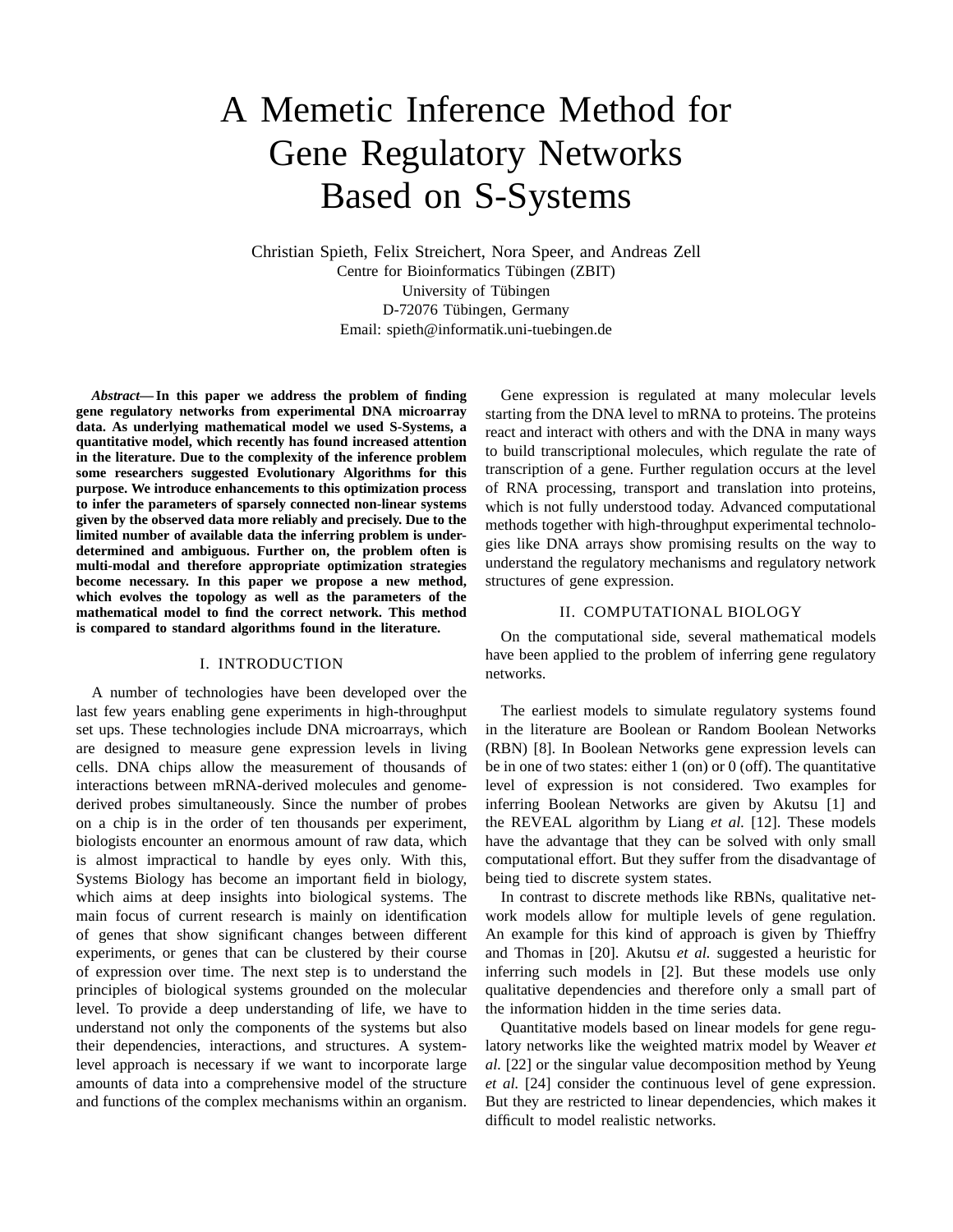# A Memetic Inference Method for Gene Regulatory Networks Based on S-Systems

Christian Spieth, Felix Streichert, Nora Speer, and Andreas Zell Centre for Bioinformatics Tübingen (ZBIT) University of Tübingen D-72076 Tübingen, Germany Email: spieth@informatik.uni-tuebingen.de

*Abstract***— In this paper we address the problem of finding gene regulatory networks from experimental DNA microarray data. As underlying mathematical model we used S-Systems, a quantitative model, which recently has found increased attention in the literature. Due to the complexity of the inference problem some researchers suggested Evolutionary Algorithms for this purpose. We introduce enhancements to this optimization process to infer the parameters of sparsely connected non-linear systems given by the observed data more reliably and precisely. Due to the limited number of available data the inferring problem is underdetermined and ambiguous. Further on, the problem often is multi-modal and therefore appropriate optimization strategies become necessary. In this paper we propose a new method, which evolves the topology as well as the parameters of the mathematical model to find the correct network. This method is compared to standard algorithms found in the literature.**

## I. INTRODUCTION

A number of technologies have been developed over the last few years enabling gene experiments in high-throughput set ups. These technologies include DNA microarrays, which are designed to measure gene expression levels in living cells. DNA chips allow the measurement of thousands of interactions between mRNA-derived molecules and genomederived probes simultaneously. Since the number of probes on a chip is in the order of ten thousands per experiment, biologists encounter an enormous amount of raw data, which is almost impractical to handle by eyes only. With this, Systems Biology has become an important field in biology, which aims at deep insights into biological systems. The main focus of current research is mainly on identification of genes that show significant changes between different experiments, or genes that can be clustered by their course of expression over time. The next step is to understand the principles of biological systems grounded on the molecular level. To provide a deep understanding of life, we have to understand not only the components of the systems but also their dependencies, interactions, and structures. A systemlevel approach is necessary if we want to incorporate large amounts of data into a comprehensive model of the structure and functions of the complex mechanisms within an organism.

Gene expression is regulated at many molecular levels starting from the DNA level to mRNA to proteins. The proteins react and interact with others and with the DNA in many ways to build transcriptional molecules, which regulate the rate of transcription of a gene. Further regulation occurs at the level of RNA processing, transport and translation into proteins, which is not fully understood today. Advanced computational methods together with high-throughput experimental technologies like DNA arrays show promising results on the way to understand the regulatory mechanisms and regulatory network structures of gene expression.

# II. COMPUTATIONAL BIOLOGY

On the computational side, several mathematical models have been applied to the problem of inferring gene regulatory networks.

The earliest models to simulate regulatory systems found in the literature are Boolean or Random Boolean Networks (RBN) [8]. In Boolean Networks gene expression levels can be in one of two states: either 1 (on) or 0 (off). The quantitative level of expression is not considered. Two examples for inferring Boolean Networks are given by Akutsu [1] and the REVEAL algorithm by Liang *et al.* [12]. These models have the advantage that they can be solved with only small computational effort. But they suffer from the disadvantage of being tied to discrete system states.

In contrast to discrete methods like RBNs, qualitative network models allow for multiple levels of gene regulation. An example for this kind of approach is given by Thieffry and Thomas in [20]. Akutsu *et al.* suggested a heuristic for inferring such models in [2]. But these models use only qualitative dependencies and therefore only a small part of the information hidden in the time series data.

Quantitative models based on linear models for gene regulatory networks like the weighted matrix model by Weaver *et al.* [22] or the singular value decomposition method by Yeung *et al.* [24] consider the continuous level of gene expression. But they are restricted to linear dependencies, which makes it difficult to model realistic networks.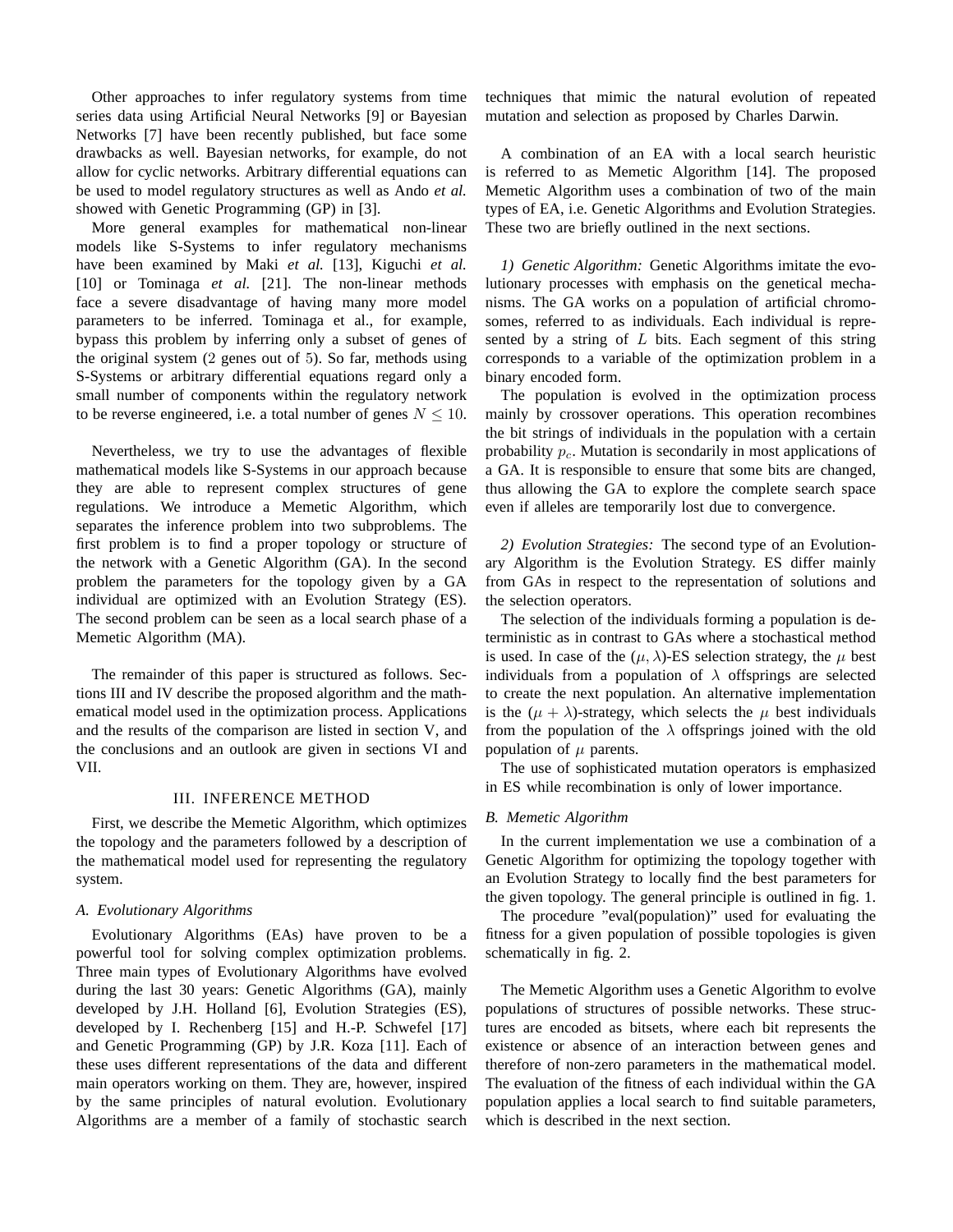Other approaches to infer regulatory systems from time series data using Artificial Neural Networks [9] or Bayesian Networks [7] have been recently published, but face some drawbacks as well. Bayesian networks, for example, do not allow for cyclic networks. Arbitrary differential equations can be used to model regulatory structures as well as Ando *et al.* showed with Genetic Programming (GP) in [3].

More general examples for mathematical non-linear models like S-Systems to infer regulatory mechanisms have been examined by Maki *et al.* [13], Kiguchi *et al.* [10] or Tominaga *et al.* [21]. The non-linear methods face a severe disadvantage of having many more model parameters to be inferred. Tominaga et al., for example, bypass this problem by inferring only a subset of genes of the original system (2 genes out of 5). So far, methods using S-Systems or arbitrary differential equations regard only a small number of components within the regulatory network to be reverse engineered, i.e. a total number of genes  $N \leq 10$ .

Nevertheless, we try to use the advantages of flexible mathematical models like S-Systems in our approach because they are able to represent complex structures of gene regulations. We introduce a Memetic Algorithm, which separates the inference problem into two subproblems. The first problem is to find a proper topology or structure of the network with a Genetic Algorithm (GA). In the second problem the parameters for the topology given by a GA individual are optimized with an Evolution Strategy (ES). The second problem can be seen as a local search phase of a Memetic Algorithm (MA).

The remainder of this paper is structured as follows. Sections III and IV describe the proposed algorithm and the mathematical model used in the optimization process. Applications and the results of the comparison are listed in section V, and the conclusions and an outlook are given in sections VI and VII.

## III. INFERENCE METHOD

First, we describe the Memetic Algorithm, which optimizes the topology and the parameters followed by a description of the mathematical model used for representing the regulatory system.

## *A. Evolutionary Algorithms*

Evolutionary Algorithms (EAs) have proven to be a powerful tool for solving complex optimization problems. Three main types of Evolutionary Algorithms have evolved during the last 30 years: Genetic Algorithms (GA), mainly developed by J.H. Holland [6], Evolution Strategies (ES), developed by I. Rechenberg [15] and H.-P. Schwefel [17] and Genetic Programming (GP) by J.R. Koza [11]. Each of these uses different representations of the data and different main operators working on them. They are, however, inspired by the same principles of natural evolution. Evolutionary Algorithms are a member of a family of stochastic search

techniques that mimic the natural evolution of repeated mutation and selection as proposed by Charles Darwin.

A combination of an EA with a local search heuristic is referred to as Memetic Algorithm [14]. The proposed Memetic Algorithm uses a combination of two of the main types of EA, i.e. Genetic Algorithms and Evolution Strategies. These two are briefly outlined in the next sections.

*1) Genetic Algorithm:* Genetic Algorithms imitate the evolutionary processes with emphasis on the genetical mechanisms. The GA works on a population of artificial chromosomes, referred to as individuals. Each individual is represented by a string of  $L$  bits. Each segment of this string corresponds to a variable of the optimization problem in a binary encoded form.

The population is evolved in the optimization process mainly by crossover operations. This operation recombines the bit strings of individuals in the population with a certain probability  $p<sub>c</sub>$ . Mutation is secondarily in most applications of a GA. It is responsible to ensure that some bits are changed, thus allowing the GA to explore the complete search space even if alleles are temporarily lost due to convergence.

*2) Evolution Strategies:* The second type of an Evolutionary Algorithm is the Evolution Strategy. ES differ mainly from GAs in respect to the representation of solutions and the selection operators.

The selection of the individuals forming a population is deterministic as in contrast to GAs where a stochastical method is used. In case of the  $(\mu, \lambda)$ -ES selection strategy, the  $\mu$  best individuals from a population of  $\lambda$  offsprings are selected to create the next population. An alternative implementation is the  $(\mu + \lambda)$ -strategy, which selects the  $\mu$  best individuals from the population of the  $\lambda$  offsprings joined with the old population of  $\mu$  parents.

The use of sophisticated mutation operators is emphasized in ES while recombination is only of lower importance.

# *B. Memetic Algorithm*

In the current implementation we use a combination of a Genetic Algorithm for optimizing the topology together with an Evolution Strategy to locally find the best parameters for the given topology. The general principle is outlined in fig. 1.

The procedure "eval(population)" used for evaluating the fitness for a given population of possible topologies is given schematically in fig. 2.

The Memetic Algorithm uses a Genetic Algorithm to evolve populations of structures of possible networks. These structures are encoded as bitsets, where each bit represents the existence or absence of an interaction between genes and therefore of non-zero parameters in the mathematical model. The evaluation of the fitness of each individual within the GA population applies a local search to find suitable parameters, which is described in the next section.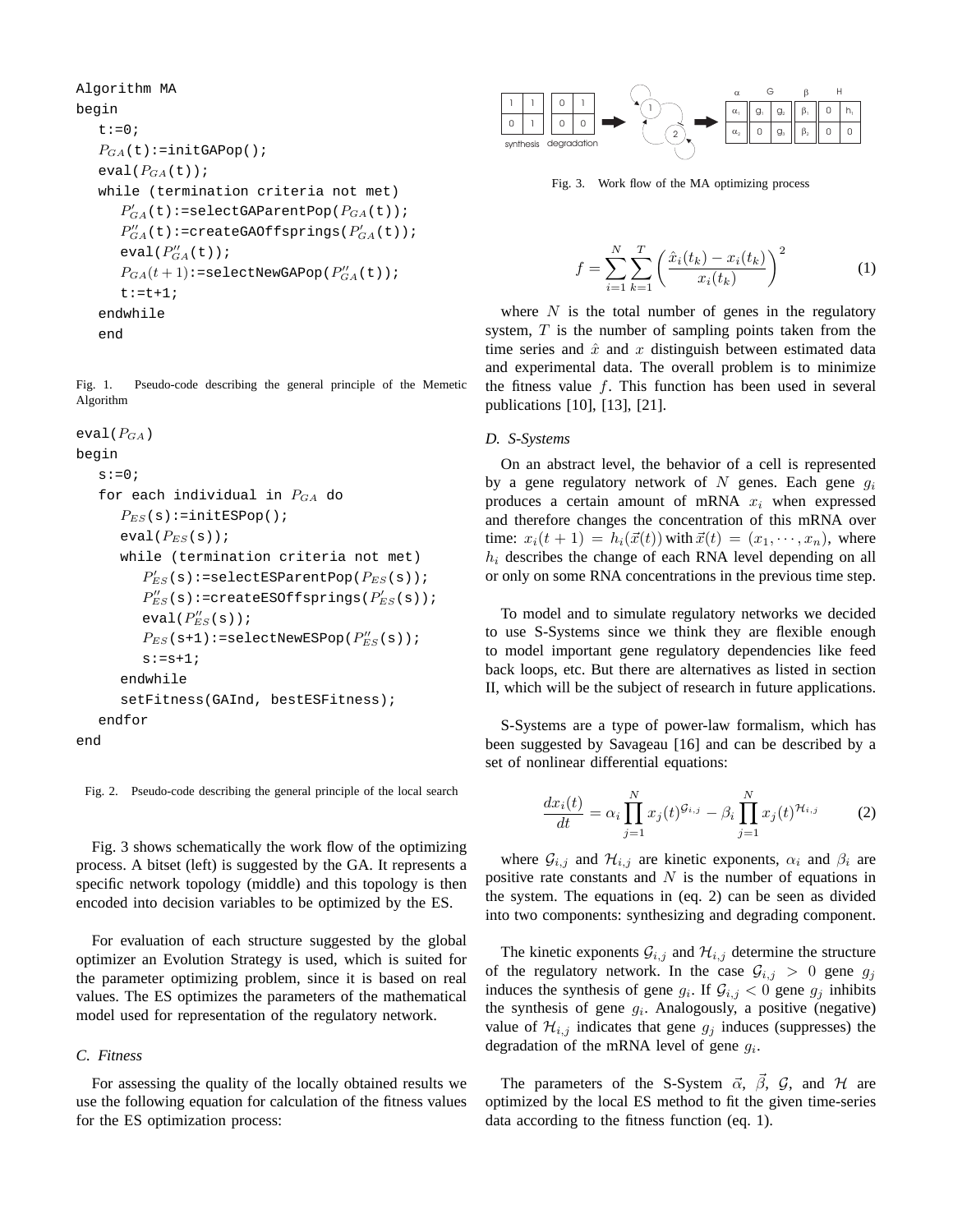```
Algorithm MA
begin
   t := 0;P_{GA}(\texttt{t}):=initGAPop();
   eval(P_{GA}(t));
   while (termination criteria not met)
       P_{GA}'(t):=selectGAParentPop(P_{GA}(t));
       P_{GA}''(\texttt{t}):=createGAOffsprings(P_{GA}'(\texttt{t}));
       eval(P_{GA}''(\texttt{t}));
       P_{GA}(t+1):=selectNewGAPop(P''_{GA}(t));
       t:=t+1;endwhile
   end
```
Fig. 1. Pseudo-code describing the general principle of the Memetic Algorithm

 $eval(P_{GA})$ 

```
begin
     s := 0;for each individual in P_{GA} do
           P_{ES}(s):=initESPop();
           eval(P_{ES}(s));
          while (termination criteria not met)
                P_{ES}^{\prime}\left(\, {\bf s} \,\right):= {\rm selectESParentPop} \left(\, P_{ES}\left(\, {\bf s} \,\right)\, \right) ;
                P_{ES}^{\prime\prime}\left(\, {\bf s} \,\right): =\text{createESOfisprings}\left(\, P_{ES}^{\prime}\left( \, {\bf s} \, \right)\, \right)\, ;eval(P_{ES}^{\prime\prime}\left(\texttt{s}\right));
                P_{ES}(\texttt{s+1}):=\texttt{selectNewESPop}(P_{ES}^{\prime\prime}(\texttt{s}));
                s:=s+1;endwhile
           setFitness(GAInd, bestESFitness);
     endfor
end
```
Fig. 2. Pseudo-code describing the general principle of the local search

Fig. 3 shows schematically the work flow of the optimizing process. A bitset (left) is suggested by the GA. It represents a specific network topology (middle) and this topology is then encoded into decision variables to be optimized by the ES.

For evaluation of each structure suggested by the global optimizer an Evolution Strategy is used, which is suited for the parameter optimizing problem, since it is based on real values. The ES optimizes the parameters of the mathematical model used for representation of the regulatory network.

# *C. Fitness*

For assessing the quality of the locally obtained results we use the following equation for calculation of the fitness values for the ES optimization process:



Fig. 3. Work flow of the MA optimizing process

$$
f = \sum_{i=1}^{N} \sum_{k=1}^{T} \left( \frac{\hat{x}_i(t_k) - x_i(t_k)}{x_i(t_k)} \right)^2
$$
 (1)

where  $N$  is the total number of genes in the regulatory system,  $T$  is the number of sampling points taken from the time series and  $\hat{x}$  and x distinguish between estimated data and experimental data. The overall problem is to minimize the fitness value  $f$ . This function has been used in several publications [10], [13], [21].

### *D. S-Systems*

On an abstract level, the behavior of a cell is represented by a gene regulatory network of N genes. Each gene  $g_i$ produces a certain amount of mRNA  $x_i$  when expressed and therefore changes the concentration of this mRNA over time:  $x_i(t + 1) = h_i(\vec{x}(t))$  with  $\vec{x}(t) = (x_1, \dots, x_n)$ , where  $h_i$  describes the change of each RNA level depending on all or only on some RNA concentrations in the previous time step.

To model and to simulate regulatory networks we decided to use S-Systems since we think they are flexible enough to model important gene regulatory dependencies like feed back loops, etc. But there are alternatives as listed in section II, which will be the subject of research in future applications.

S-Systems are a type of power-law formalism, which has been suggested by Savageau [16] and can be described by a set of nonlinear differential equations:

$$
\frac{dx_i(t)}{dt} = \alpha_i \prod_{j=1}^N x_j(t)^{\mathcal{G}_{i,j}} - \beta_i \prod_{j=1}^N x_j(t)^{\mathcal{H}_{i,j}} \tag{2}
$$

where  $G_{i,j}$  and  $\mathcal{H}_{i,j}$  are kinetic exponents,  $\alpha_i$  and  $\beta_i$  are positive rate constants and  $N$  is the number of equations in the system. The equations in (eq. 2) can be seen as divided into two components: synthesizing and degrading component.

The kinetic exponents  $G_{i,j}$  and  $H_{i,j}$  determine the structure of the regulatory network. In the case  $\mathcal{G}_{i,j} > 0$  gene  $g_j$ induces the synthesis of gene  $g_i$ . If  $\mathcal{G}_{i,j} < 0$  gene  $g_j$  inhibits the synthesis of gene  $g_i$ . Analogously, a positive (negative) value of  $\mathcal{H}_{i,j}$  indicates that gene  $g_j$  induces (suppresses) the degradation of the mRNA level of gene  $g_i$ .

The parameters of the S-System  $\vec{\alpha}$ ,  $\vec{\beta}$ ,  $\mathcal{G}$ , and  $\mathcal{H}$  are optimized by the local ES method to fit the given time-series data according to the fitness function (eq. 1).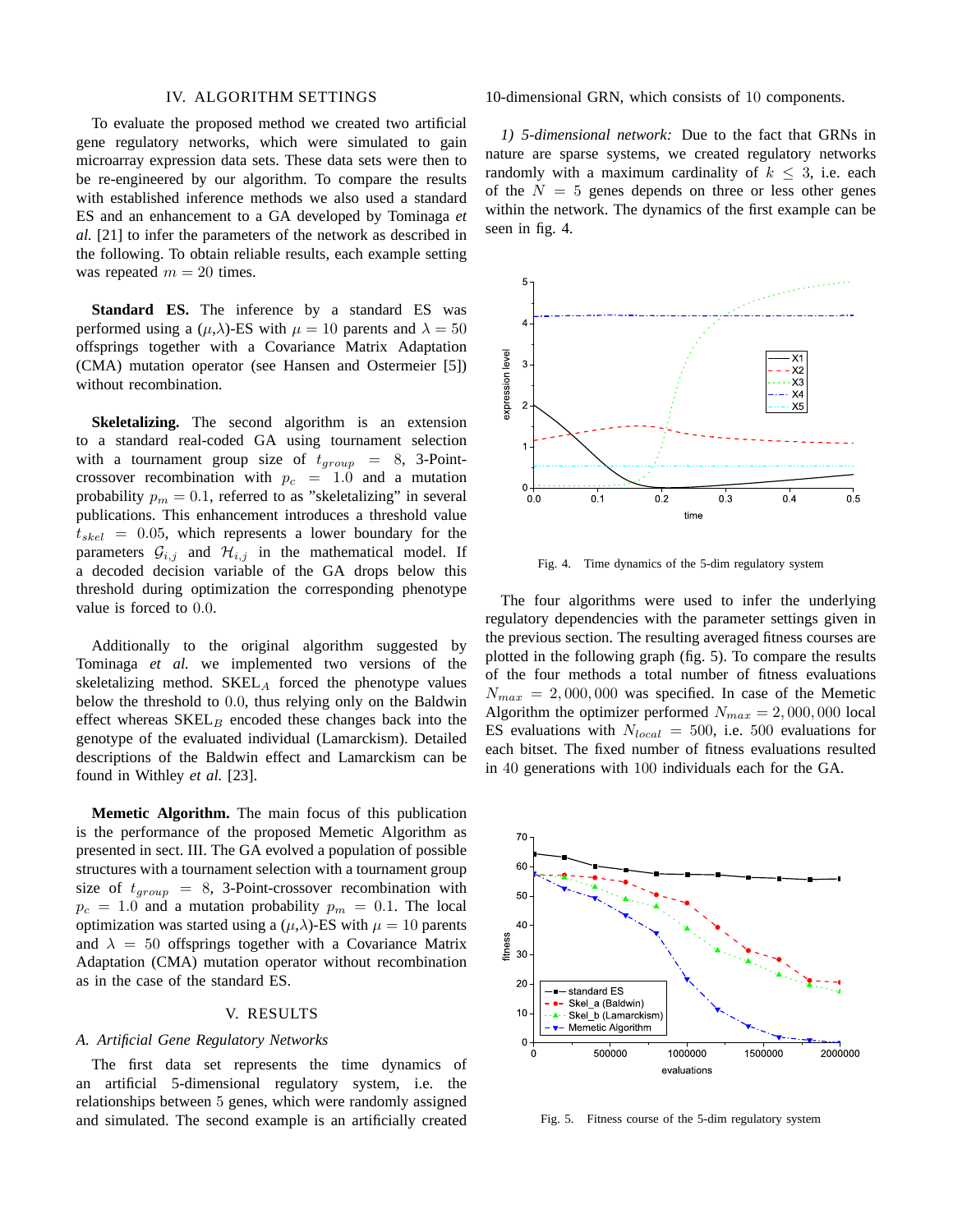#### IV. ALGORITHM SETTINGS

To evaluate the proposed method we created two artificial gene regulatory networks, which were simulated to gain microarray expression data sets. These data sets were then to be re-engineered by our algorithm. To compare the results with established inference methods we also used a standard ES and an enhancement to a GA developed by Tominaga *et al.* [21] to infer the parameters of the network as described in the following. To obtain reliable results, each example setting was repeated  $m = 20$  times.

**Standard ES.** The inference by a standard ES was performed using a  $(\mu, \lambda)$ -ES with  $\mu = 10$  parents and  $\lambda = 50$ offsprings together with a Covariance Matrix Adaptation (CMA) mutation operator (see Hansen and Ostermeier [5]) without recombination.

**Skeletalizing.** The second algorithm is an extension to a standard real-coded GA using tournament selection with a tournament group size of  $t_{group} = 8$ , 3-Pointcrossover recombination with  $p_c = 1.0$  and a mutation probability  $p_m = 0.1$ , referred to as "skeletalizing" in several publications. This enhancement introduces a threshold value  $t_{skel}$  = 0.05, which represents a lower boundary for the parameters  $\mathcal{G}_{i,j}$  and  $\mathcal{H}_{i,j}$  in the mathematical model. If a decoded decision variable of the GA drops below this threshold during optimization the corresponding phenotype value is forced to 0.0.

Additionally to the original algorithm suggested by Tominaga *et al.* we implemented two versions of the skeletalizing method.  $SKEL<sub>A</sub>$  forced the phenotype values below the threshold to 0.0, thus relying only on the Baldwin effect whereas  $SKEL_B$  encoded these changes back into the genotype of the evaluated individual (Lamarckism). Detailed descriptions of the Baldwin effect and Lamarckism can be found in Withley *et al.* [23].

**Memetic Algorithm.** The main focus of this publication is the performance of the proposed Memetic Algorithm as presented in sect. III. The GA evolved a population of possible structures with a tournament selection with a tournament group size of  $t_{group} = 8$ , 3-Point-crossover recombination with  $p_c = 1.0$  and a mutation probability  $p_m = 0.1$ . The local optimization was started using a  $(\mu, \lambda)$ -ES with  $\mu = 10$  parents and  $\lambda = 50$  offsprings together with a Covariance Matrix Adaptation (CMA) mutation operator without recombination as in the case of the standard ES.

# V. RESULTS

## *A. Artificial Gene Regulatory Networks*

The first data set represents the time dynamics of an artificial 5-dimensional regulatory system, i.e. the relationships between 5 genes, which were randomly assigned and simulated. The second example is an artificially created 10-dimensional GRN, which consists of 10 components.

*1) 5-dimensional network:* Due to the fact that GRNs in nature are sparse systems, we created regulatory networks randomly with a maximum cardinality of  $k \leq 3$ , i.e. each of the  $N = 5$  genes depends on three or less other genes within the network. The dynamics of the first example can be seen in fig. 4.



Fig. 4. Time dynamics of the 5-dim regulatory system

The four algorithms were used to infer the underlying regulatory dependencies with the parameter settings given in the previous section. The resulting averaged fitness courses are plotted in the following graph (fig. 5). To compare the results of the four methods a total number of fitness evaluations  $N_{max} = 2,000,000$  was specified. In case of the Memetic Algorithm the optimizer performed  $N_{max} = 2,000,000$  local ES evaluations with  $N_{local} = 500$ , i.e. 500 evaluations for each bitset. The fixed number of fitness evaluations resulted in 40 generations with 100 individuals each for the GA.



Fig. 5. Fitness course of the 5-dim regulatory system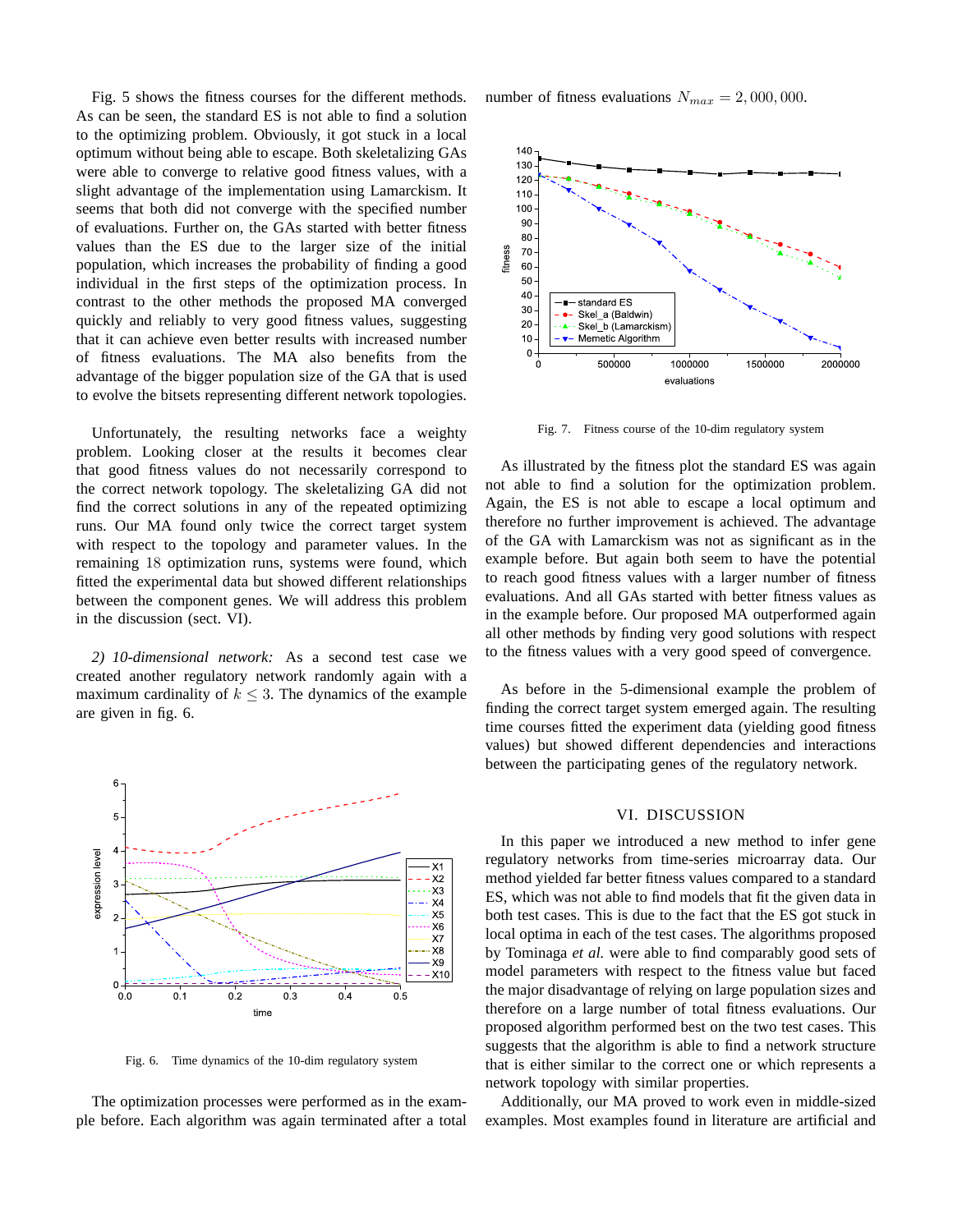Fig. 5 shows the fitness courses for the different methods. As can be seen, the standard ES is not able to find a solution to the optimizing problem. Obviously, it got stuck in a local optimum without being able to escape. Both skeletalizing GAs were able to converge to relative good fitness values, with a slight advantage of the implementation using Lamarckism. It seems that both did not converge with the specified number of evaluations. Further on, the GAs started with better fitness values than the ES due to the larger size of the initial population, which increases the probability of finding a good individual in the first steps of the optimization process. In contrast to the other methods the proposed MA converged quickly and reliably to very good fitness values, suggesting that it can achieve even better results with increased number of fitness evaluations. The MA also benefits from the advantage of the bigger population size of the GA that is used to evolve the bitsets representing different network topologies.

Unfortunately, the resulting networks face a weighty problem. Looking closer at the results it becomes clear that good fitness values do not necessarily correspond to the correct network topology. The skeletalizing GA did not find the correct solutions in any of the repeated optimizing runs. Our MA found only twice the correct target system with respect to the topology and parameter values. In the remaining 18 optimization runs, systems were found, which fitted the experimental data but showed different relationships between the component genes. We will address this problem in the discussion (sect. VI).

*2) 10-dimensional network:* As a second test case we created another regulatory network randomly again with a maximum cardinality of  $k \leq 3$ . The dynamics of the example are given in fig. 6.



Fig. 6. Time dynamics of the 10-dim regulatory system

The optimization processes were performed as in the example before. Each algorithm was again terminated after a total number of fitness evaluations  $N_{max} = 2,000,000$ .



Fig. 7. Fitness course of the 10-dim regulatory system

As illustrated by the fitness plot the standard ES was again not able to find a solution for the optimization problem. Again, the ES is not able to escape a local optimum and therefore no further improvement is achieved. The advantage of the GA with Lamarckism was not as significant as in the example before. But again both seem to have the potential to reach good fitness values with a larger number of fitness evaluations. And all GAs started with better fitness values as in the example before. Our proposed MA outperformed again all other methods by finding very good solutions with respect to the fitness values with a very good speed of convergence.

As before in the 5-dimensional example the problem of finding the correct target system emerged again. The resulting time courses fitted the experiment data (yielding good fitness values) but showed different dependencies and interactions between the participating genes of the regulatory network.

# VI. DISCUSSION

In this paper we introduced a new method to infer gene regulatory networks from time-series microarray data. Our method yielded far better fitness values compared to a standard ES, which was not able to find models that fit the given data in both test cases. This is due to the fact that the ES got stuck in local optima in each of the test cases. The algorithms proposed by Tominaga *et al.* were able to find comparably good sets of model parameters with respect to the fitness value but faced the major disadvantage of relying on large population sizes and therefore on a large number of total fitness evaluations. Our proposed algorithm performed best on the two test cases. This suggests that the algorithm is able to find a network structure that is either similar to the correct one or which represents a network topology with similar properties.

Additionally, our MA proved to work even in middle-sized examples. Most examples found in literature are artificial and